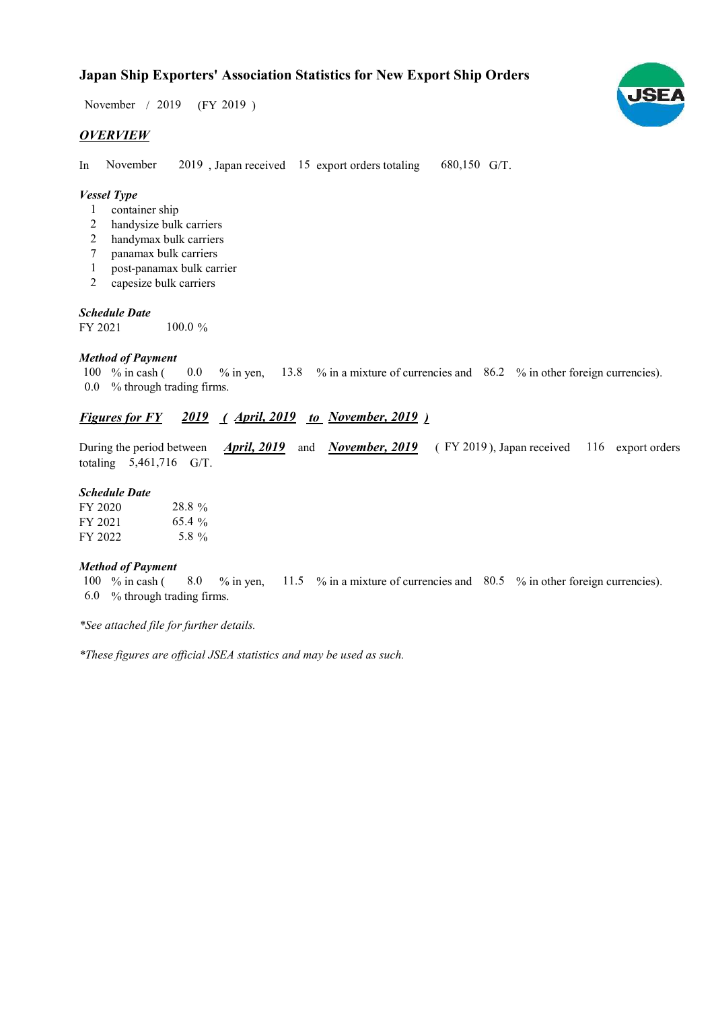# Japan Ship Exporters' Association Statistics for New Export Ship Orders

 $/ 2019$  (FY 2019) November / 2019

## **OVERVIEW**

In November 2019, Japan received 15 export orders totaling 680,150 G/T. November

#### Vessel Type

- container ship 1
- handysize bulk carriers 2
- handymax bulk carriers 2
- panamax bulk carriers 7
- post-panamax bulk carrier 1
- capesize bulk carriers 2

#### Schedule Date

FY 2021  $100.0\%$ 

#### Method of Payment

% in cash ( $\qquad 0.0 \quad$  % in yen,  $\qquad$  13.8 % in a mixture of currencies and  $\qquad$  86.2 % in other foreign currencies). % through trading firms. 0.0 100  $%$  in cash ( 0.0

# Figures for FY 2019 (April, 2019 to November, 2019)

During the period between *April, 2019* and *November, 2019* (FY 2019), Japan received 116 export orders totaling 5,461,716 G/T. April, 2019 and November, 2019

## Schedule Date

| FY 2020 | 28.8%    |
|---------|----------|
| FY 2021 | $65.4\%$ |
| FY 2022 | 5.8 %    |

#### Method of Payment

% in cash ( $\frac{8.0}{5}$  % in yen,  $\frac{11.5}{5}$  % in a mixture of currencies and  $\frac{80.5}{5}$  % in other foreign currencies). % through trading firms. 6.0 100 % in cash ( 8.0

\*See attached file for further details.

\*These figures are official JSEA statistics and may be used as such.

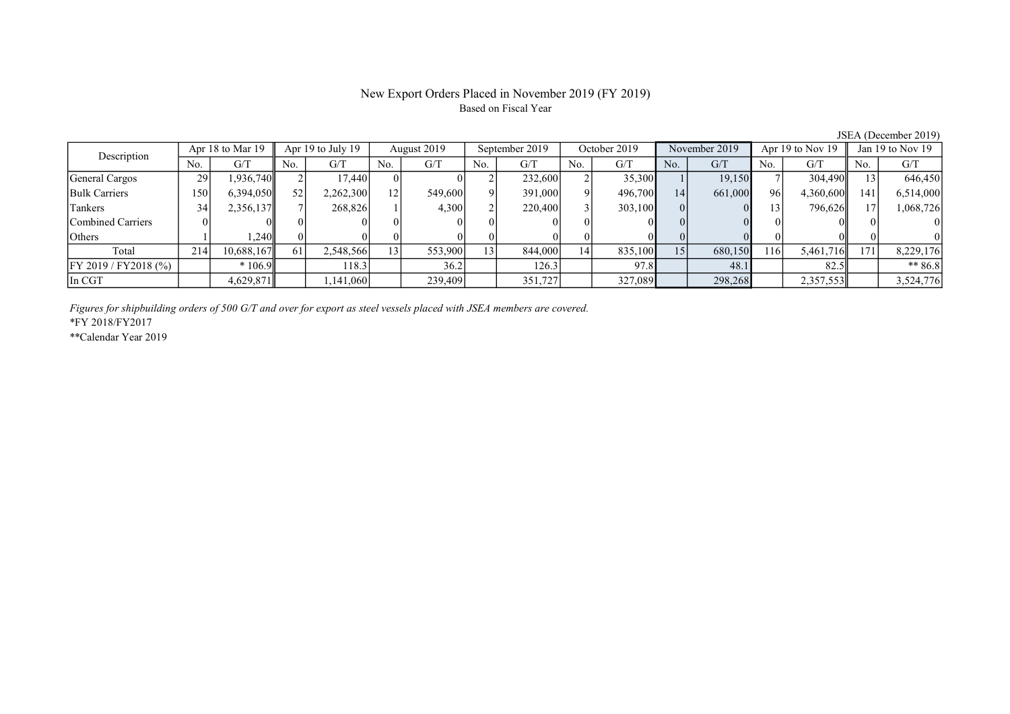#### New Export Orders Placed in November 2019 (FY 2019) Based on Fiscal Year

No. | G/T || No. | G/T || No. | G/T || No. | G/T || No. | G/T || No. | G/T || No. | G/T || No. | G/T General Cargos 29 1,936,740 2 17,440 0 0 2 232,600 2 35,300 1 19,150 7 304,490 13 646,450 Bulk Carriers 150 6,394,050 52 2,262,300 12 549,600 9 391,000 9 496,700 14 661,000 96 4,360,600 141 6,514,000 Tankers 19 34 2,356,137 7 268,826 1 4,300 2 220,400 3 303,100 0 0 13 796,626 17 1,068,726 Combined Carriers 0 0 0 0 0 0 0 0 0 0 0 0 0 0 0 0 Others 1 1,240 0 0 0 0 0 0 0 0 0 0 0 0 0 0 Total 214 10,688,167 61 2,548,566 13 553,900 13 844,000 14 835,100 15 680,150 116 5,461,716 171 8,229,176 FY 2019 / FY2018 (%) \* 106.9 118.3 36.2 126.3 97.8 48.1 82.5 \*\* 86.8 In CGT 1,145,029,871 | 1,141,060 | 239,409 | 351,727 | 327,089 | 298,268 | 2,357,553 | 3,524,776 Description Apr 18 to Mar 19 Apr 19 to July 19 August 2019 September 2019<br>No. 6/T No. 6/T No. 6/T No. 6/T No. 6/T Apr 18 to Mar 19 Apr 19 to July 19 August 2019 September 2019 October 2019 November 2019 Apr 19 to Nov 19 Jan 19 to Nov 19

Figures for shipbuilding orders of 500 G/T and over for export as steel vessels placed with JSEA members are covered.

\*FY 2018/FY2017

\*\*Calendar Year 2019

JSEA (December 2019)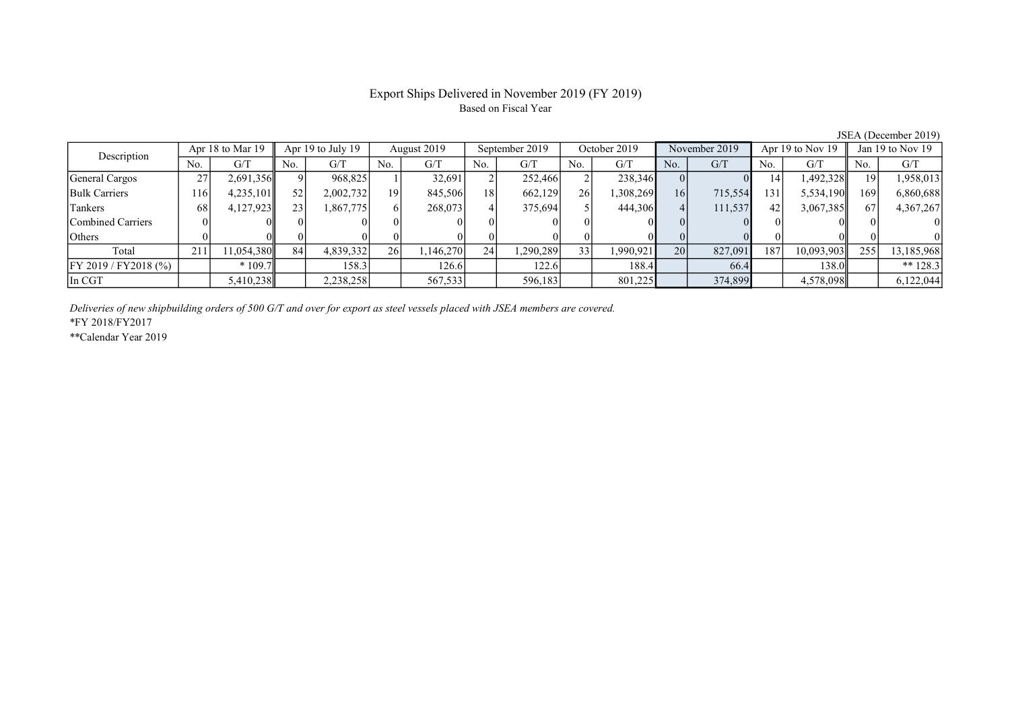# Export Ships Delivered in November 2019 (FY 2019) Based on Fiscal Year

JSEA (December 2019)

| Apr 18 to Mar 19<br>Description |      |            | Apr 19 to July 19 |           | August 2019     |          | September 2019  |          | October 2019     |           | November 2019   |         | Apr 19 to Nov 19 |            | Jan 19 to Nov 19 |            |
|---------------------------------|------|------------|-------------------|-----------|-----------------|----------|-----------------|----------|------------------|-----------|-----------------|---------|------------------|------------|------------------|------------|
|                                 | No.  | G/T        | No.               | G/T       | No.             | G/T      | No.             | G/T      | No.              | G/T       | No.             | G/T     | No.              | G/T        | No.              | G/T        |
| General Cargos                  | 27   | 2,691,356  |                   | 968,825   |                 | 32,691   | ◠               | 252,466  |                  | 238,346   |                 |         | 14               | 1,492,328  | 19 <sup> </sup>  | 1,958,013  |
| <b>Bulk Carriers</b>            | 1161 | 4,235,101  | 52                | 2,002,732 | 19              | 845,506  | 18              | 662,129  | 26 <sup>-1</sup> | 1,308,269 | 16              | 715,554 | 131              | 5,534,190  | 1691             | 6,860,688  |
| Tankers                         | 68   | 4,127,923  | 23                | 1,867,775 |                 | 268,073  |                 | 375,694  |                  | 444,306   |                 | 111,537 | 42               | 3,067,385  | 67               | 4,367,267  |
| Combined Carriers               |      |            |                   |           |                 |          |                 |          |                  |           |                 |         |                  |            |                  |            |
| <b>Others</b>                   |      |            |                   |           |                 |          |                 |          |                  |           |                 |         |                  |            |                  |            |
| Total                           | 211  | 11,054,380 | 84                | 4,839,332 | 26 <sup>1</sup> | ,146,270 | 24 <sub>1</sub> | ,290,289 | 33               | 1,990,921 | 20 <sup>1</sup> | 827,091 | 187              | 10,093,903 | 255              | 13,185,968 |
| $[$ FY 2019 / FY 2018 (%)       |      | $*109.7$   |                   | 158.31    |                 | 126.61   |                 | 122.6    |                  | 188.4     |                 | 66.4    |                  | 138.0      |                  | ** $128.3$ |
| In CGT                          |      | 5,410,238  |                   | 2,238,258 |                 | 567,533  |                 | 596,183  |                  | 801,225   |                 | 374,899 |                  | 4,578,098  |                  | 6,122,044  |

Deliveries of new shipbuilding orders of 500 G/T and over for export as steel vessels placed with JSEA members are covered.

\*FY 2018/FY2017

\*\*Calendar Year 2019